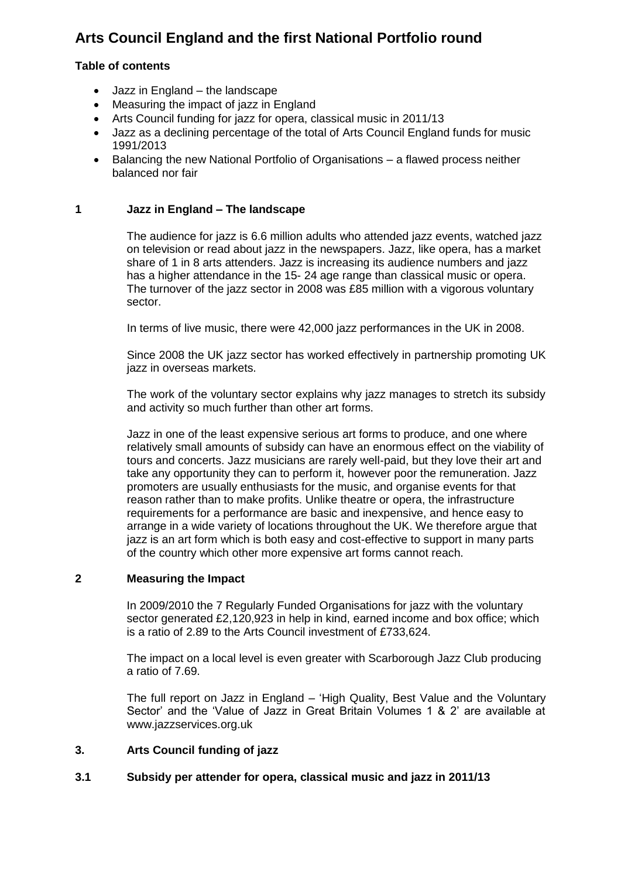# **Arts Council England and the first National Portfolio round**

# **Table of contents**

- Jazz in England the landscape
- Measuring the impact of jazz in England
- Arts Council funding for jazz for opera, classical music in 2011/13
- Jazz as a declining percentage of the total of Arts Council England funds for music 1991/2013
- Balancing the new National Portfolio of Organisations a flawed process neither balanced nor fair

# **1 Jazz in England – The landscape**

The audience for jazz is 6.6 million adults who attended jazz events, watched jazz on television or read about jazz in the newspapers. Jazz, like opera, has a market share of 1 in 8 arts attenders. Jazz is increasing its audience numbers and jazz has a higher attendance in the 15- 24 age range than classical music or opera. The turnover of the jazz sector in 2008 was £85 million with a vigorous voluntary sector.

In terms of live music, there were 42,000 jazz performances in the UK in 2008.

Since 2008 the UK jazz sector has worked effectively in partnership promoting UK jazz in overseas markets.

The work of the voluntary sector explains why jazz manages to stretch its subsidy and activity so much further than other art forms.

Jazz in one of the least expensive serious art forms to produce, and one where relatively small amounts of subsidy can have an enormous effect on the viability of tours and concerts. Jazz musicians are rarely well-paid, but they love their art and take any opportunity they can to perform it, however poor the remuneration. Jazz promoters are usually enthusiasts for the music, and organise events for that reason rather than to make profits. Unlike theatre or opera, the infrastructure requirements for a performance are basic and inexpensive, and hence easy to arrange in a wide variety of locations throughout the UK. We therefore argue that jazz is an art form which is both easy and cost-effective to support in many parts of the country which other more expensive art forms cannot reach.

# **2 Measuring the Impact**

In 2009/2010 the 7 Regularly Funded Organisations for jazz with the voluntary sector generated £2,120,923 in help in kind, earned income and box office; which is a ratio of 2.89 to the Arts Council investment of £733,624.

The impact on a local level is even greater with Scarborough Jazz Club producing a ratio of 7.69.

The full report on Jazz in England – "High Quality, Best Value and the Voluntary Sector" and the "Value of Jazz in Great Britain Volumes 1 & 2" are available at [www.jazzservices.org.uk](http://www.jazzservices.org.uk/)

# **3. Arts Council funding of jazz**

# **3.1 Subsidy per attender for opera, classical music and jazz in 2011/13**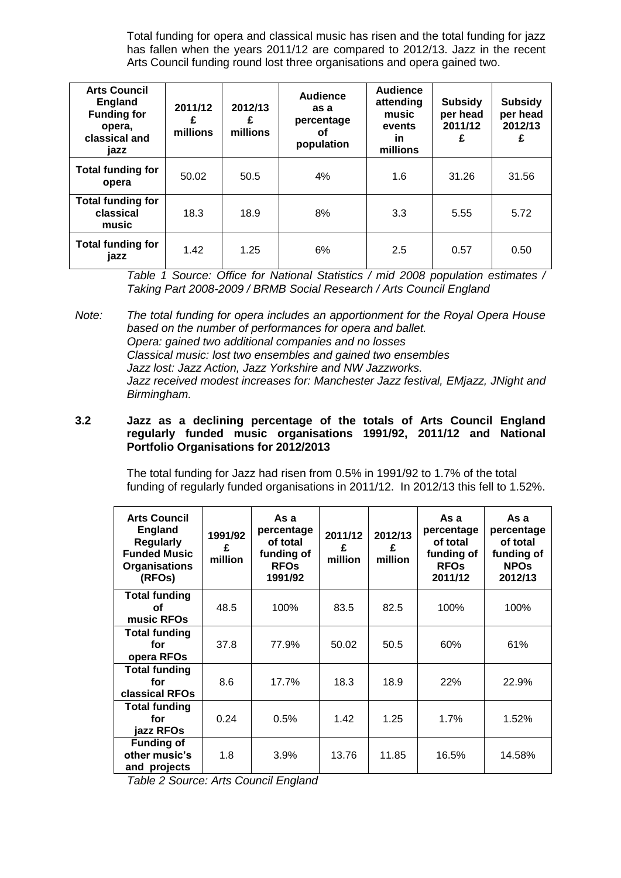Total funding for opera and classical music has risen and the total funding for jazz has fallen when the years 2011/12 are compared to 2012/13. Jazz in the recent Arts Council funding round lost three organisations and opera gained two.

| <b>Arts Council</b><br><b>England</b><br><b>Funding for</b><br>opera,<br>classical and<br>jazz | 2011/12<br>£<br>millions | 2012/13<br>£<br>millions | <b>Audience</b><br>as a<br>percentage<br>οf<br>population | <b>Audience</b><br>attending<br>music<br>events<br>in<br>millions | <b>Subsidy</b><br>per head<br>2011/12<br>£ | <b>Subsidy</b><br>per head<br>2012/13<br>£ |
|------------------------------------------------------------------------------------------------|--------------------------|--------------------------|-----------------------------------------------------------|-------------------------------------------------------------------|--------------------------------------------|--------------------------------------------|
| <b>Total funding for</b><br>opera                                                              | 50.02                    | 50.5                     | 4%                                                        | 1.6                                                               | 31.26                                      | 31.56                                      |
| <b>Total funding for</b><br>classical<br>music                                                 | 18.3                     | 18.9                     | 8%                                                        | 3.3                                                               | 5.55                                       | 5.72                                       |
| <b>Total funding for</b><br>jazz                                                               | 1.42                     | 1.25                     | 6%                                                        | 2.5                                                               | 0.57                                       | 0.50                                       |

*Table 1 Source: Office for National Statistics / mid 2008 population estimates / Taking Part 2008-2009 / BRMB Social Research / Arts Council England*

*Note: The total funding for opera includes an apportionment for the Royal Opera House based on the number of performances for opera and ballet. Opera: gained two additional companies and no losses Classical music: lost two ensembles and gained two ensembles Jazz lost: Jazz Action, Jazz Yorkshire and NW Jazzworks. Jazz received modest increases for: Manchester Jazz festival, EMjazz, JNight and Birmingham.*

#### **3.2 Jazz as a declining percentage of the totals of Arts Council England regularly funded music organisations 1991/92, 2011/12 and National Portfolio Organisations for 2012/2013**

The total funding for Jazz had risen from 0.5% in 1991/92 to 1.7% of the total funding of regularly funded organisations in 2011/12. In 2012/13 this fell to 1.52%.

| <b>Arts Council</b><br><b>England</b><br><b>Regularly</b><br><b>Funded Music</b><br><b>Organisations</b><br>(RFOs) | 1991/92<br>£<br>million | As a<br>percentage<br>of total<br>funding of<br><b>RFOs</b><br>1991/92 | 2011/12<br>£<br>million | 2012/13<br>£<br>million | As a<br>percentage<br>of total<br>funding of<br><b>RFOs</b><br>2011/12 | As a<br>percentage<br>of total<br>funding of<br><b>NPOS</b><br>2012/13 |
|--------------------------------------------------------------------------------------------------------------------|-------------------------|------------------------------------------------------------------------|-------------------------|-------------------------|------------------------------------------------------------------------|------------------------------------------------------------------------|
| <b>Total funding</b><br>οf<br>music RFOs                                                                           | 48.5                    | 100%                                                                   | 83.5                    | 82.5                    | 100%                                                                   | 100%                                                                   |
| <b>Total funding</b><br>for<br>opera RFOs                                                                          | 37.8                    | 77.9%                                                                  | 50.02                   | 50.5                    | 60%                                                                    | 61%                                                                    |
| <b>Total funding</b><br>for<br>classical RFOs                                                                      | 8.6                     | 17.7%                                                                  | 18.3                    | 18.9                    | 22%                                                                    | 22.9%                                                                  |
| <b>Total funding</b><br>for<br>iazz RFOs                                                                           | 0.24                    | 0.5%                                                                   | 1.42                    | 1.25                    | 1.7%                                                                   | 1.52%                                                                  |
| <b>Funding of</b><br>other music's<br>and projects                                                                 | 1.8                     | 3.9%                                                                   | 13.76                   | 11.85                   | 16.5%                                                                  | 14.58%                                                                 |

*Table 2 Source: Arts Council England*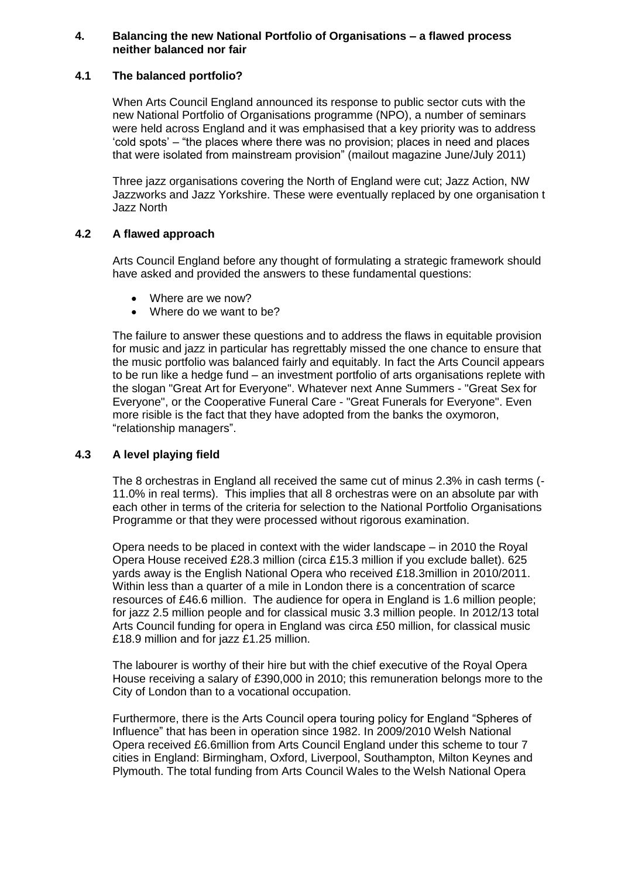#### **4. Balancing the new National Portfolio of Organisations – a flawed process neither balanced nor fair**

# **4.1 The balanced portfolio?**

When Arts Council England announced its response to public sector cuts with the new National Portfolio of Organisations programme (NPO), a number of seminars were held across England and it was emphasised that a key priority was to address "cold spots" – "the places where there was no provision; places in need and places that were isolated from mainstream provision" (mailout magazine June/July 2011)

Three jazz organisations covering the North of England were cut; Jazz Action, NW Jazzworks and Jazz Yorkshire. These were eventually replaced by one organisation t Jazz North

# **4.2 A flawed approach**

Arts Council England before any thought of formulating a strategic framework should have asked and provided the answers to these fundamental questions:

- Where are we now?
- Where do we want to be?

The failure to answer these questions and to address the flaws in equitable provision for music and jazz in particular has regrettably missed the one chance to ensure that the music portfolio was balanced fairly and equitably. In fact the Arts Council appears to be run like a hedge fund – an investment portfolio of arts organisations replete with the slogan "Great Art for Everyone". Whatever next Anne Summers - "Great Sex for Everyone", or the Cooperative Funeral Care - "Great Funerals for Everyone". Even more risible is the fact that they have adopted from the banks the oxymoron, "relationship managers".

# **4.3 A level playing field**

The 8 orchestras in England all received the same cut of minus 2.3% in cash terms (- 11.0% in real terms). This implies that all 8 orchestras were on an absolute par with each other in terms of the criteria for selection to the National Portfolio Organisations Programme or that they were processed without rigorous examination.

Opera needs to be placed in context with the wider landscape – in 2010 the Royal Opera House received £28.3 million (circa £15.3 million if you exclude ballet). 625 yards away is the English National Opera who received £18.3million in 2010/2011. Within less than a quarter of a mile in London there is a concentration of scarce resources of £46.6 million. The audience for opera in England is 1.6 million people; for jazz 2.5 million people and for classical music 3.3 million people. In 2012/13 total Arts Council funding for opera in England was circa £50 million, for classical music £18.9 million and for jazz £1.25 million.

The labourer is worthy of their hire but with the chief executive of the Royal Opera House receiving a salary of £390,000 in 2010; this remuneration belongs more to the City of London than to a vocational occupation.

Furthermore, there is the Arts Council opera touring policy for England "Spheres of Influence" that has been in operation since 1982. In 2009/2010 Welsh National Opera received £6.6million from Arts Council England under this scheme to tour 7 cities in England: Birmingham, Oxford, Liverpool, Southampton, Milton Keynes and Plymouth. The total funding from Arts Council Wales to the Welsh National Opera